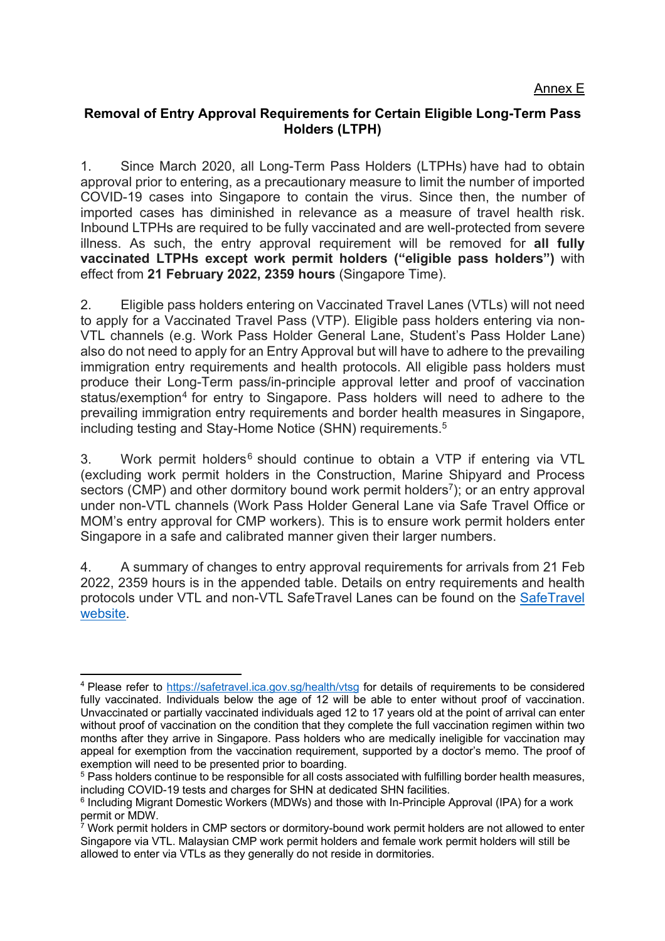## **Removal of Entry Approval Requirements for Certain Eligible Long-Term Pass Holders (LTPH)**

1. Since March 2020, all Long-Term Pass Holders (LTPHs) have had to obtain approval prior to entering, as a precautionary measure to limit the number of imported COVID-19 cases into Singapore to contain the virus. Since then, the number of imported cases has diminished in relevance as a measure of travel health risk. Inbound LTPHs are required to be fully vaccinated and are well-protected from severe illness. As such, the entry approval requirement will be removed for **all fully vaccinated LTPHs except work permit holders ("eligible pass holders")** with effect from **21 February 2022, 2359 hours** (Singapore Time).

2. Eligible pass holders entering on Vaccinated Travel Lanes (VTLs) will not need to apply for a Vaccinated Travel Pass (VTP). Eligible pass holders entering via non-VTL channels (e.g. Work Pass Holder General Lane, Student's Pass Holder Lane) also do not need to apply for an Entry Approval but will have to adhere to the prevailing immigration entry requirements and health protocols. All eligible pass holders must produce their Long-Term pass/in-principle approval letter and proof of vaccination status/exemption<sup>4</sup> for entry to Singapore. Pass holders will need to adhere to the prevailing immigration entry requirements and border health measures in Singapore, including testing and Stay-Home Notice (SHN) requirements. 5

3. Work permit holders<sup>6</sup> should continue to obtain a VTP if entering via VTL (excluding work permit holders in the Construction, Marine Shipyard and Process sectors (CMP) and other dormitory bound work permit holders<sup>7</sup>); or an entry approval under non-VTL channels (Work Pass Holder General Lane via Safe Travel Office or MOM's entry approval for CMP workers). This is to ensure work permit holders enter Singapore in a safe and calibrated manner given their larger numbers.

4. A summary of changes to entry approval requirements for arrivals from 21 Feb 2022, 2359 hours is in the appended table. Details on entry requirements and health protocols under VTL and non-VTL SafeTravel Lanes can be found on the SafeTravel website.

<sup>4</sup> Please refer to https://safetravel.ica.gov.sg/health/vtsg for details of requirements to be considered fully vaccinated. Individuals below the age of 12 will be able to enter without proof of vaccination. Unvaccinated or partially vaccinated individuals aged 12 to 17 years old at the point of arrival can enter without proof of vaccination on the condition that they complete the full vaccination regimen within two months after they arrive in Singapore. Pass holders who are medically ineligible for vaccination may appeal for exemption from the vaccination requirement, supported by a doctor's memo. The proof of exemption will need to be presented prior to boarding.

<sup>&</sup>lt;sup>5</sup> Pass holders continue to be responsible for all costs associated with fulfilling border health measures, including COVID-19 tests and charges for SHN at dedicated SHN facilities.

<sup>6</sup> Including Migrant Domestic Workers (MDWs) and those with In-Principle Approval (IPA) for a work permit or MDW.

 $7$  Work permit holders in CMP sectors or dormitory-bound work permit holders are not allowed to enter Singapore via VTL. Malaysian CMP work permit holders and female work permit holders will still be allowed to enter via VTLs as they generally do not reside in dormitories.